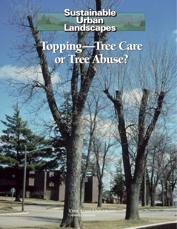## **Sustainable Urban Landscapes Sustainable Urban Landscapes**

# Topping—Tree Care or Tree Abuse? Topping—Tree Care or Tree Abuse?

**IOWA STATE UNIVERSIT** *Tree Topping– Tree Care or Tree Topping– Tree Care or Tree Abuse 1949–1949* 

 $SIII -7$  . January 199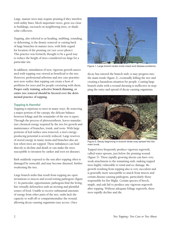Large, mature trees may require pruning if they interfere with utility lines, block important views, grow too close to buildings, encroach on neighboring trees, or shade solar collectors.

Topping, also referred to as heading, stubbing, rounding, or dehorning, is the drastic removal or cutting back of large branches in mature trees, with little regard for location of the pruning cut (see cover photo). This practice was formerly thought to be a good way to reduce the height of trees considered too large for a particular site.

In addition, stimulation of new, vigorous growth associated with topping was viewed as beneficial to the tree. However, professional arborists and tree care practitioners now realize that topping can create a host of problems for trees and for people coexisting with them. **Proper early training, selective branch thinning, or entire tree removal should be favored over the detrimental practice of topping.**

### **Topping Is Harmful**

Topping is injurious to trees in many ways. By removing a major portion of the canopy, the delicate balance between foliage and the remainder of the tree is upset. Through the process of photosynthesis, leaves manufacture chemical energy required by the tree for growth and maintenance of branches, trunk, and roots. With large portions of leaf surface area removed, a tree's energyproducing potential is severely reduced. Large reserves of stored energy in many stems and branches also are lost when trees are topped. These imbalances can lead directly to decline and death or can make the trees susceptible to invasion by canker and root rot diseases.

Bark suddenly exposed to the sun after topping often is damaged by sunscald, and may become diseased, further weakening the tree.

Large branch stubs that result from topping are open invitations to insects and wood-rotting pathogens (figure 1). In particular, opportunistic pathogens find the living, but virtually defenseless stub an inviting and plentiful source of food. Unable to receive substantial amounts of energy from other parts of the tree, stubs lack the capacity to wall-off or compartmentalize the wound, allowing decay-causing organisms easy access. Once



Figure 1. Large branch stubs invite insect and disease problems.

decay has entered the branch stub, it may progress into the main trunk (figure 2), eventually killing the tree and creating a hazardous situation for people. Coating large branch stubs with a wound dressing is ineffective in stopping the entry and spread of decay-causing organisms.



Figure 2. Decay beginning in branch stubs may spread into the main trunk.

Topped trees frequently produce vigorous regrowth, called water sprouts, just below the pruning wound (figure 3). These rapidly growing shoots can have very weak attachment to the remaining stub, making topped trees highly vulnerable to wind and ice damage. Regrowth resulting from topping also is very succulent and is generally more susceptible to attack from insects and certain disease-causing pathogens, particularly those responsible for fire blight. Certain species of beech, maple, and oak fail to produce any vigorous regrowth after topping. Without adequate foliage regrowth, these trees rapidly decline and die.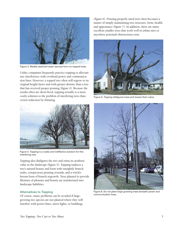

Figure 3. Weakly attached water sprouts form on topped trees.

Utility companies frequently practice topping to alleviate tree interference with overhead power and communication lines. However, a topped tree often will regrow to its original height faster and with greater density than a tree that has received proper pruning (figure 4). Because the results often are short-lived, topping actually is a more costly solution to the problem of interfering trees than crown reduction by thinning.



Figure 4. Topping is a costly and ineffective solution for this interfering tree.

Topping also disfigures the tree and ruins its aesthetic value in the landscape (figure 5). Topping replaces a tree's natural beauty and form with unsightly branch stubs, conspicuous pruning wounds, and a witch'sbroom form of branch regrowth. Trees planted to provide lifetimes of pleasure and beauty are transformed into landscape liabilities.

### **Alternatives to Topping**

Of course, many problems can be avoided if largegrowing tree species are not planted where they will interfere with power lines, street lights, or buildings

(figure 6). Pruning properly-sited trees then becomes a matter of simply maintaining tree structure, form, health, and appearance (figure 7). In addition, there are many excellent smaller trees that work well in urban sites or anywhere potential obstructions exist.



Figure 5. Topping disfigures trees and lowers their value.



Figure 6. Do not plant large growing trees beneath power and communication lines.